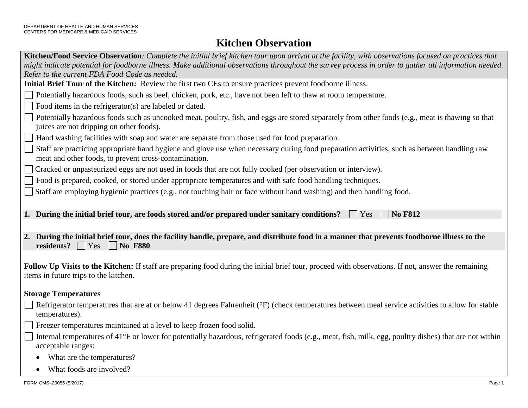## **Kitchen Observation**

| Kitchen/Food Service Observation: Complete the initial brief kitchen tour upon arrival at the facility, with observations focused on practices that                                                  |  |  |
|------------------------------------------------------------------------------------------------------------------------------------------------------------------------------------------------------|--|--|
| might indicate potential for foodborne illness. Make additional observations throughout the survey process in order to gather all information needed.                                                |  |  |
| Refer to the current FDA Food Code as needed.<br>Initial Brief Tour of the Kitchen: Review the first two CEs to ensure practices prevent foodborne illness.                                          |  |  |
|                                                                                                                                                                                                      |  |  |
| Potentially hazardous foods, such as beef, chicken, pork, etc., have not been left to thaw at room temperature.                                                                                      |  |  |
| Food items in the refrigerator(s) are labeled or dated.                                                                                                                                              |  |  |
| Potentially hazardous foods such as uncooked meat, poultry, fish, and eggs are stored separately from other foods (e.g., meat is thawing so that<br>juices are not dripping on other foods).         |  |  |
| Hand washing facilities with soap and water are separate from those used for food preparation.                                                                                                       |  |  |
| Staff are practicing appropriate hand hygiene and glove use when necessary during food preparation activities, such as between handling raw<br>meat and other foods, to prevent cross-contamination. |  |  |
| Cracked or unpasteurized eggs are not used in foods that are not fully cooked (per observation or interview).                                                                                        |  |  |
| Food is prepared, cooked, or stored under appropriate temperatures and with safe food handling techniques.                                                                                           |  |  |
| Staff are employing hygienic practices (e.g., not touching hair or face without hand washing) and then handling food.                                                                                |  |  |
|                                                                                                                                                                                                      |  |  |
| 1. During the initial brief tour, are foods stored and/or prepared under sanitary conditions?<br><b>No F812</b><br>Yes                                                                               |  |  |
|                                                                                                                                                                                                      |  |  |
| 2. During the initial brief tour, does the facility handle, prepare, and distribute food in a manner that prevents foodborne illness to the<br>residents? $\Box$ Yes<br>No F880                      |  |  |
|                                                                                                                                                                                                      |  |  |
| Follow Up Visits to the Kitchen: If staff are preparing food during the initial brief tour, proceed with observations. If not, answer the remaining<br>items in future trips to the kitchen.         |  |  |
| <b>Storage Temperatures</b>                                                                                                                                                                          |  |  |
| Refrigerator temperatures that are at or below 41 degrees Fahrenheit (°F) (check temperatures between meal service activities to allow for stable<br>temperatures).                                  |  |  |
| Freezer temperatures maintained at a level to keep frozen food solid.                                                                                                                                |  |  |
| Internal temperatures of 41°F or lower for potentially hazardous, refrigerated foods (e.g., meat, fish, milk, egg, poultry dishes) that are not within<br>acceptable ranges:                         |  |  |
| What are the temperatures?                                                                                                                                                                           |  |  |
| What foods are involved?                                                                                                                                                                             |  |  |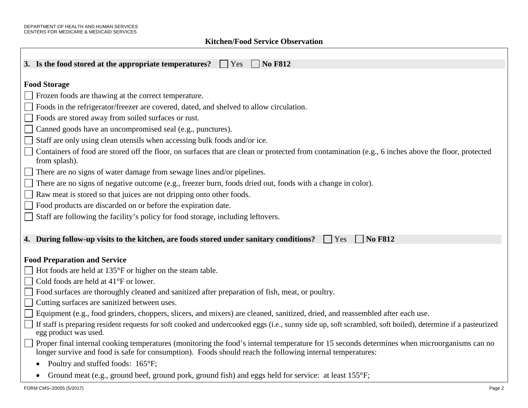Г

## **Kitchen/Food Service Observation**

| 3. Is the food stored at the appropriate temperatures?<br><b>No F812</b><br>Yes                                                                                                                                                                          |
|----------------------------------------------------------------------------------------------------------------------------------------------------------------------------------------------------------------------------------------------------------|
| <b>Food Storage</b>                                                                                                                                                                                                                                      |
| Frozen foods are thawing at the correct temperature.                                                                                                                                                                                                     |
| Foods in the refrigerator/freezer are covered, dated, and shelved to allow circulation.                                                                                                                                                                  |
| Foods are stored away from soiled surfaces or rust.                                                                                                                                                                                                      |
| Canned goods have an uncompromised seal (e.g., punctures).                                                                                                                                                                                               |
| Staff are only using clean utensils when accessing bulk foods and/or ice.                                                                                                                                                                                |
| Containers of food are stored off the floor, on surfaces that are clean or protected from contamination (e.g., 6 inches above the floor, protected                                                                                                       |
| from splash).                                                                                                                                                                                                                                            |
| There are no signs of water damage from sewage lines and/or pipelines.                                                                                                                                                                                   |
| There are no signs of negative outcome (e.g., freezer burn, foods dried out, foods with a change in color).                                                                                                                                              |
| Raw meat is stored so that juices are not dripping onto other foods.                                                                                                                                                                                     |
| Food products are discarded on or before the expiration date.                                                                                                                                                                                            |
| Staff are following the facility's policy for food storage, including leftovers.                                                                                                                                                                         |
|                                                                                                                                                                                                                                                          |
| <b>No F812</b><br>4. During follow-up visits to the kitchen, are foods stored under sanitary conditions?<br>Yes                                                                                                                                          |
|                                                                                                                                                                                                                                                          |
| <b>Food Preparation and Service</b>                                                                                                                                                                                                                      |
| Hot foods are held at 135°F or higher on the steam table.                                                                                                                                                                                                |
| Cold foods are held at 41°F or lower.                                                                                                                                                                                                                    |
| Food surfaces are thoroughly cleaned and sanitized after preparation of fish, meat, or poultry.                                                                                                                                                          |
| Cutting surfaces are sanitized between uses.                                                                                                                                                                                                             |
| Equipment (e.g., food grinders, choppers, slicers, and mixers) are cleaned, sanitized, dried, and reassembled after each use.                                                                                                                            |
| If staff is preparing resident requests for soft cooked and undercooked eggs (i.e., sunny side up, soft scrambled, soft boiled), determine if a pasteurized<br>egg product was used.                                                                     |
| Proper final internal cooking temperatures (monitoring the food's internal temperature for 15 seconds determines when microorganisms can no<br>longer survive and food is safe for consumption). Foods should reach the following internal temperatures: |
| Poultry and stuffed foods: 165°F;                                                                                                                                                                                                                        |
| • Ground meat (e.g., ground beef, ground pork, ground fish) and eggs held for service: at least 155°F;                                                                                                                                                   |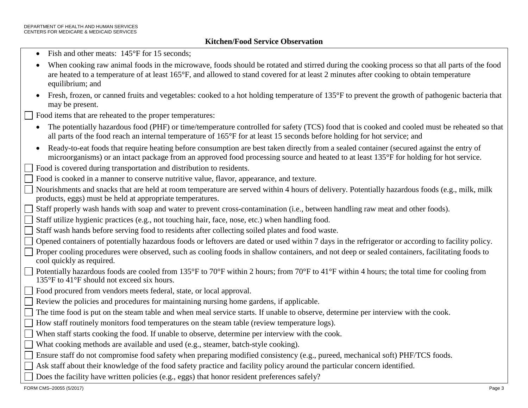- Fish and other meats: 145°F for 15 seconds:
- When cooking raw animal foods in the microwave, foods should be rotated and stirred during the cooking process so that all parts of the food are heated to a temperature of at least 165°F, and allowed to stand covered for at least 2 minutes after cooking to obtain temperature equilibrium; and
- Fresh, frozen, or canned fruits and vegetables: cooked to a hot holding temperature of 135°F to prevent the growth of pathogenic bacteria that may be present.

Food items that are reheated to the proper temperatures:

- The potentially hazardous food (PHF) or time/temperature controlled for safety (TCS) food that is cooked and cooled must be reheated so that all parts of the food reach an internal temperature of 165°F for at least 15 seconds before holding for hot service; and
- microorganisms) or an intact package from an approved food processing source and heated to at least 135°F for holding for hot service. • Ready-to-eat foods that require heating before consumption are best taken directly from a sealed container (secured against the entry of

Food is covered during transportation and distribution to residents.

- Food is cooked in a manner to conserve nutritive value, flavor, appearance, and texture.
- $\Box$  Nourishments and snacks that are held at room temperature are served within 4 hours of delivery. Potentially hazardous foods (e.g., milk, milk products, eggs) must be held at appropriate temperatures.
	- Staff properly wash hands with soap and water to prevent cross-contamination (i.e., between handling raw meat and other foods).

Staff utilize hygienic practices (e.g., not touching hair, face, nose, etc.) when handling food.

- Staff wash hands before serving food to residents after collecting soiled plates and food waste.
- Opened containers of potentially hazardous foods or leftovers are dated or used within 7 days in the refrigerator or according to facility policy.
- Proper cooling procedures were observed, such as cooling foods in shallow containers, and not deep or sealed containers, facilitating foods to cool quickly as required.
- Potentially hazardous foods are cooled from 135°F to 70°F within 2 hours; from 70°F to 41°F within 4 hours; the total time for cooling from 135°F to 41°F should not exceed six hours.
- Food procured from vendors meets federal, state, or local approval.
- Review the policies and procedures for maintaining nursing home gardens, if applicable.
- The time food is put on the steam table and when meal service starts. If unable to observe, determine per interview with the cook.
- How staff routinely monitors food temperatures on the steam table (review temperature logs).
- When staff starts cooking the food. If unable to observe, determine per interview with the cook.
- What cooking methods are available and used (e.g., steamer, batch-style cooking).
- $\Box$  Ensure staff do not compromise food safety when preparing modified consistency (e.g., pureed, mechanical soft) PHF/TCS foods.
	- Ask staff about their knowledge of the food safety practice and facility policy around the particular concern identified.
	- Does the facility have written policies (e.g., eggs) that honor resident preferences safely?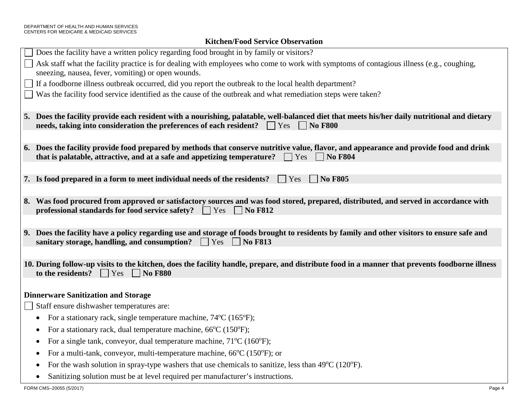## **Kitchen/Food Service Observation**

| Does the facility have a written policy regarding food brought in by family or visitors?                                                                                                                                                                   |
|------------------------------------------------------------------------------------------------------------------------------------------------------------------------------------------------------------------------------------------------------------|
| Ask staff what the facility practice is for dealing with employees who come to work with symptoms of contagious illness (e.g., coughing,                                                                                                                   |
| sneezing, nausea, fever, vomiting) or open wounds.                                                                                                                                                                                                         |
| If a foodborne illness outbreak occurred, did you report the outbreak to the local health department?                                                                                                                                                      |
| Was the facility food service identified as the cause of the outbreak and what remediation steps were taken?                                                                                                                                               |
|                                                                                                                                                                                                                                                            |
| 5. Does the facility provide each resident with a nourishing, palatable, well-balanced diet that meets his/her daily nutritional and dietary<br>needs, taking into consideration the preferences of each resident?<br>$\blacksquare$ No F800<br>$\Box$ Yes |
|                                                                                                                                                                                                                                                            |
| 6. Does the facility provide food prepared by methods that conserve nutritive value, flavor, and appearance and provide food and drink                                                                                                                     |
| that is palatable, attractive, and at a safe and appetizing temperature?<br>Yes<br><b>No F804</b>                                                                                                                                                          |
|                                                                                                                                                                                                                                                            |
| <b>No F805</b><br>7. Is food prepared in a form to meet individual needs of the residents?<br>Yes                                                                                                                                                          |
|                                                                                                                                                                                                                                                            |
| 8. Was food procured from approved or satisfactory sources and was food stored, prepared, distributed, and served in accordance with                                                                                                                       |
| professional standards for food service safety?<br><b>No F812</b><br>Yes                                                                                                                                                                                   |
|                                                                                                                                                                                                                                                            |
| 9. Does the facility have a policy regarding use and storage of foods brought to residents by family and other visitors to ensure safe and                                                                                                                 |
| sanitary storage, handling, and consumption?<br><b>No F813</b><br>$\Box$ Yes                                                                                                                                                                               |
|                                                                                                                                                                                                                                                            |
| 10. During follow-up visits to the kitchen, does the facility handle, prepare, and distribute food in a manner that prevents foodborne illness<br>to the residents?<br>$\vert \vert$ Yes<br><b>No F880</b>                                                 |
|                                                                                                                                                                                                                                                            |
| <b>Dinnerware Sanitization and Storage</b>                                                                                                                                                                                                                 |
| Staff ensure dishwasher temperatures are:                                                                                                                                                                                                                  |
| For a stationary rack, single temperature machine, $74^{\circ}$ C (165 $^{\circ}$ F);<br>$\bullet$                                                                                                                                                         |
| For a stationary rack, dual temperature machine, $66^{\circ}C$ (150 $^{\circ}F$ );<br>$\bullet$                                                                                                                                                            |
| For a single tank, conveyor, dual temperature machine, $71^{\circ}$ C (160 $^{\circ}$ F);<br>٠                                                                                                                                                             |
| For a multi-tank, conveyor, multi-temperature machine, $66^{\circ}$ C (150 $^{\circ}$ F); or<br>$\bullet$                                                                                                                                                  |
| For the wash solution in spray-type washers that use chemicals to sanitize, less than $49^{\circ}C$ (120 $^{\circ}F$ ).<br>٠                                                                                                                               |
| Sanitizing solution must be at level required per manufacturer's instructions.<br>$\bullet$                                                                                                                                                                |
|                                                                                                                                                                                                                                                            |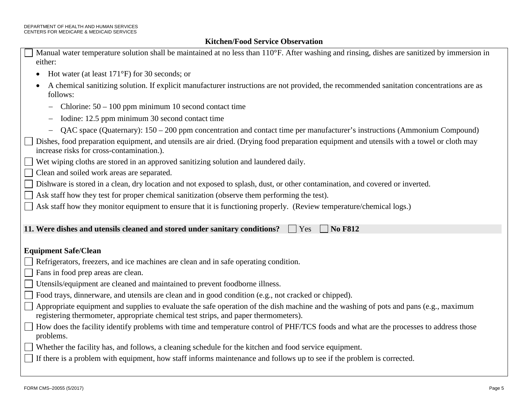## **Kitchen/Food Service Observation**

| Manual water temperature solution shall be maintained at no less than 110°F. After washing and rinsing, dishes are sanitized by immersion in<br>either:                                                                      |
|------------------------------------------------------------------------------------------------------------------------------------------------------------------------------------------------------------------------------|
| Hot water (at least $171^{\circ}$ F) for 30 seconds; or                                                                                                                                                                      |
| A chemical sanitizing solution. If explicit manufacturer instructions are not provided, the recommended sanitation concentrations are as<br>follows:                                                                         |
| Chlorine: $50 - 100$ ppm minimum 10 second contact time                                                                                                                                                                      |
| Iodine: 12.5 ppm minimum 30 second contact time<br>$\qquad \qquad -$                                                                                                                                                         |
| QAC space (Quaternary): 150 – 200 ppm concentration and contact time per manufacturer's instructions (Ammonium Compound)                                                                                                     |
| Dishes, food preparation equipment, and utensils are air dried. (Drying food preparation equipment and utensils with a towel or cloth may<br>increase risks for cross-contamination.).                                       |
| Wet wiping cloths are stored in an approved sanitizing solution and laundered daily.                                                                                                                                         |
| Clean and soiled work areas are separated.                                                                                                                                                                                   |
| Dishware is stored in a clean, dry location and not exposed to splash, dust, or other contamination, and covered or inverted.                                                                                                |
| Ask staff how they test for proper chemical sanitization (observe them performing the test).                                                                                                                                 |
| Ask staff how they monitor equipment to ensure that it is functioning properly. (Review temperature/chemical logs.)                                                                                                          |
|                                                                                                                                                                                                                              |
| 11. Were dishes and utensils cleaned and stored under sanitary conditions?<br><b>No F812</b><br>Yes                                                                                                                          |
|                                                                                                                                                                                                                              |
| <b>Equipment Safe/Clean</b>                                                                                                                                                                                                  |
| Refrigerators, freezers, and ice machines are clean and in safe operating condition.                                                                                                                                         |
| Fans in food prep areas are clean.                                                                                                                                                                                           |
| Utensils/equipment are cleaned and maintained to prevent foodborne illness.                                                                                                                                                  |
| Food trays, dinnerware, and utensils are clean and in good condition (e.g., not cracked or chipped).                                                                                                                         |
| Appropriate equipment and supplies to evaluate the safe operation of the dish machine and the washing of pots and pans (e.g., maximum<br>registering thermometer, appropriate chemical test strips, and paper thermometers). |
| How does the facility identify problems with time and temperature control of PHF/TCS foods and what are the processes to address those<br>problems.                                                                          |
| Whether the facility has, and follows, a cleaning schedule for the kitchen and food service equipment.                                                                                                                       |
| If there is a problem with equipment, how staff informs maintenance and follows up to see if the problem is corrected.                                                                                                       |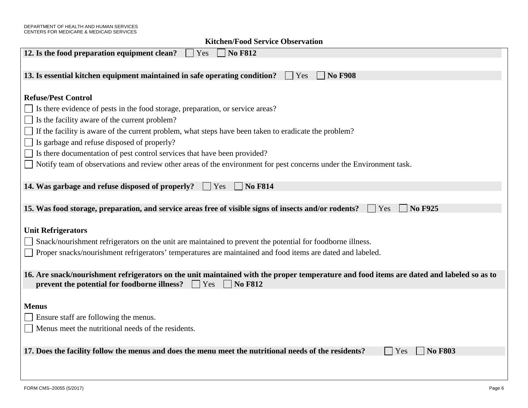| 12. Is the food preparation equipment clean?<br><b>No F812</b><br>Yes                                                                    |
|------------------------------------------------------------------------------------------------------------------------------------------|
|                                                                                                                                          |
| 13. Is essential kitchen equipment maintained in safe operating condition?<br><b>No F908</b><br>Yes                                      |
|                                                                                                                                          |
| <b>Refuse/Pest Control</b>                                                                                                               |
| Is there evidence of pests in the food storage, preparation, or service areas?                                                           |
| Is the facility aware of the current problem?                                                                                            |
| If the facility is aware of the current problem, what steps have been taken to eradicate the problem?                                    |
| Is garbage and refuse disposed of properly?                                                                                              |
| Is there documentation of pest control services that have been provided?                                                                 |
| Notify team of observations and review other areas of the environment for pest concerns under the Environment task.                      |
|                                                                                                                                          |
| 14. Was garbage and refuse disposed of properly?<br><b>No F814</b><br>Yes                                                                |
|                                                                                                                                          |
| 15. Was food storage, preparation, and service areas free of visible signs of insects and/or rodents?<br><b>No F925</b><br>  Yes         |
|                                                                                                                                          |
| <b>Unit Refrigerators</b>                                                                                                                |
| Snack/nourishment refrigerators on the unit are maintained to prevent the potential for foodborne illness.                               |
| Proper snacks/nourishment refrigerators' temperatures are maintained and food items are dated and labeled.                               |
|                                                                                                                                          |
| 16. Are snack/nourishment refrigerators on the unit maintained with the proper temperature and food items are dated and labeled so as to |
| prevent the potential for foodborne illness?<br><b>No F812</b><br>Yes                                                                    |
|                                                                                                                                          |
| <b>Menus</b>                                                                                                                             |
| Ensure staff are following the menus.                                                                                                    |
| Menus meet the nutritional needs of the residents.                                                                                       |
|                                                                                                                                          |
| 17. Does the facility follow the menus and does the menu meet the nutritional needs of the residents?<br><b>No F803</b><br>Yes           |
|                                                                                                                                          |